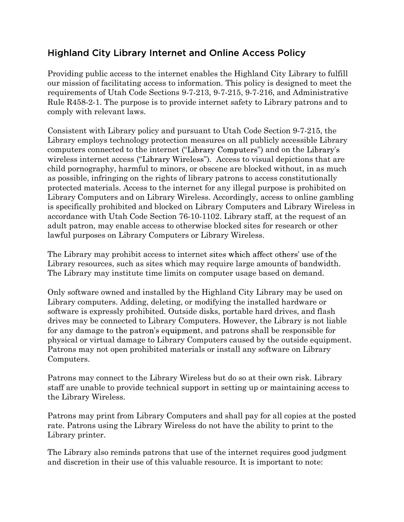## **Highland City Library Internet and Online Access Policy**

Providing public access to the internet enables the Highland City Library to fulfill our mission of facilitating access to information. This policy is designed to meet the requirements of Utah Code Sections 9-7-213, 9-7-215, 9-7-216, and Administrative Rule R458-2-1. The purpose is to provide internet safety to Library patrons and to comply with relevant laws.

Consistent with Library policy and pursuant to Utah Code Section 9-7-215, the Library employs technology protection measures on all publicly accessible Library computers connected to the internet ("Library Computers") and on the Library's wireless internet access ("Library Wireless"). Access to visual depictions that are child pornography, harmful to minors, or obscene are blocked without, in as much as possible, infringing on the rights of library patrons to access constitutionally protected materials. Access to the internet for any illegal purpose is prohibited on Library Computers and on Library Wireless. Accordingly, access to online gambling is specifically prohibited and blocked on Library Computers and Library Wireless in accordance with Utah Code Section 76-10-1102. Library staff, at the request of an adult patron, may enable access to otherwise blocked sites for research or other lawful purposes on Library Computers or Library Wireless.

The Library may prohibit access to internet sites which affect others' use of the Library resources, such as sites which may require large amounts of bandwidth. The Library may institute time limits on computer usage based on demand.

Only software owned and installed by the Highland City Library may be used on Library computers. Adding, deleting, or modifying the installed hardware or software is expressly prohibited. Outside disks, portable hard drives, and flash drives may be connected to Library Computers. However, the Library is not liable for any damage to the patron's equipment, and patrons shall be responsible for physical or virtual damage to Library Computers caused by the outside equipment. Patrons may not open prohibited materials or install any software on Library Computers.

Patrons may connect to the Library Wireless but do so at their own risk. Library staff are unable to provide technical support in setting up or maintaining access to the Library Wireless.

Patrons may print from Library Computers and shall pay for all copies at the posted rate. Patrons using the Library Wireless do not have the ability to print to the Library printer.

The Library also reminds patrons that use of the internet requires good judgment and discretion in their use of this valuable resource. It is important to note: